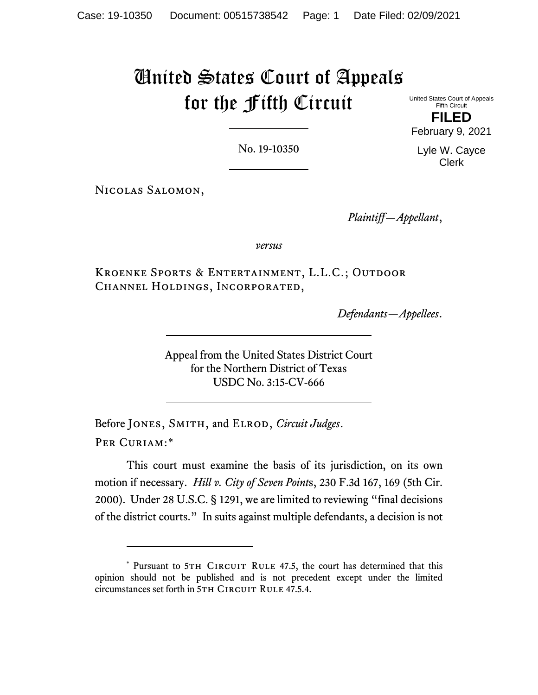## United States Court of Appeals for the Fifth Circuit

United States Court of Appeals Fifth Circuit **FILED**

February 9, 2021

No. 19-10350

Nicolas Salomon,

*Plaintiff—Appellant*,

*versus*

Kroenke Sports & Entertainment, L.L.C.; Outdoor Channel Holdings, Incorporated,

*Defendants—Appellees*.

Appeal from the United States District Court for the Northern District of Texas USDC No. 3:15-CV-666

Before JONES, SMITH, and ELROD, *Circuit Judges*. Per Curiam:[\\*](#page-0-0)

This court must examine the basis of its jurisdiction, on its own motion if necessary. *Hill v. City of Seven Point*s, 230 F.3d 167, 169 (5th Cir. 2000). Under 28 U.S.C. § 1291, we are limited to reviewing "final decisions of the district courts." In suits against multiple defendants, a decision is not

Lyle W. Cayce Clerk

<span id="page-0-0"></span><sup>\*</sup> Pursuant to 5TH CIRCUIT RULE 47.5, the court has determined that this opinion should not be published and is not precedent except under the limited circumstances set forth in 5TH CIRCUIT RULE 47.5.4.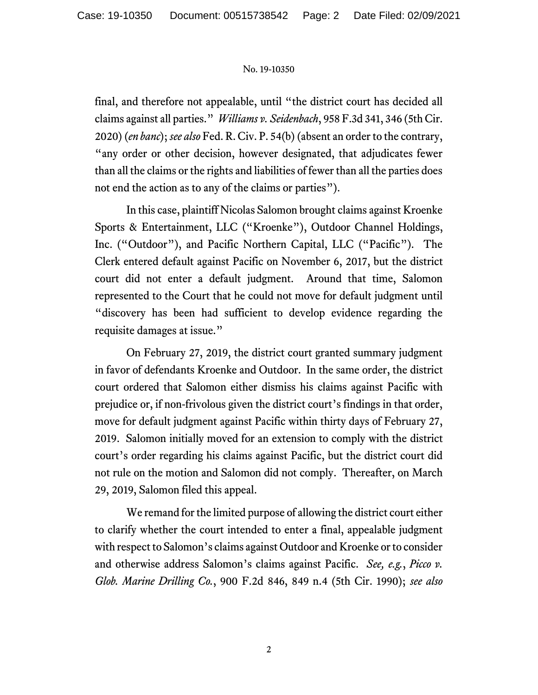## No. 19-10350

final, and therefore not appealable, until "the district court has decided all claims against all parties." *Williams v. Seidenbach*, 958 F.3d 341, 346 (5th Cir. 2020) (*en banc*); *see also* Fed. R. Civ. P. 54(b) (absent an order to the contrary, "any order or other decision, however designated, that adjudicates fewer than all the claims or the rights and liabilities of fewer than all the parties does not end the action as to any of the claims or parties").

In this case, plaintiff Nicolas Salomon brought claims against Kroenke Sports & Entertainment, LLC ("Kroenke"), Outdoor Channel Holdings, Inc. ("Outdoor"), and Pacific Northern Capital, LLC ("Pacific"). The Clerk entered default against Pacific on November 6, 2017, but the district court did not enter a default judgment. Around that time, Salomon represented to the Court that he could not move for default judgment until "discovery has been had sufficient to develop evidence regarding the requisite damages at issue."

On February 27, 2019, the district court granted summary judgment in favor of defendants Kroenke and Outdoor. In the same order, the district court ordered that Salomon either dismiss his claims against Pacific with prejudice or, if non-frivolous given the district court's findings in that order, move for default judgment against Pacific within thirty days of February 27, 2019. Salomon initially moved for an extension to comply with the district court's order regarding his claims against Pacific, but the district court did not rule on the motion and Salomon did not comply. Thereafter, on March 29, 2019, Salomon filed this appeal.

We remand for the limited purpose of allowing the district court either to clarify whether the court intended to enter a final, appealable judgment with respect to Salomon's claims against Outdoor and Kroenke or to consider and otherwise address Salomon's claims against Pacific. *See, e.g.*, *Picco v. Glob. Marine Drilling Co.*, 900 F.2d 846, 849 n.4 (5th Cir. 1990); *see also*